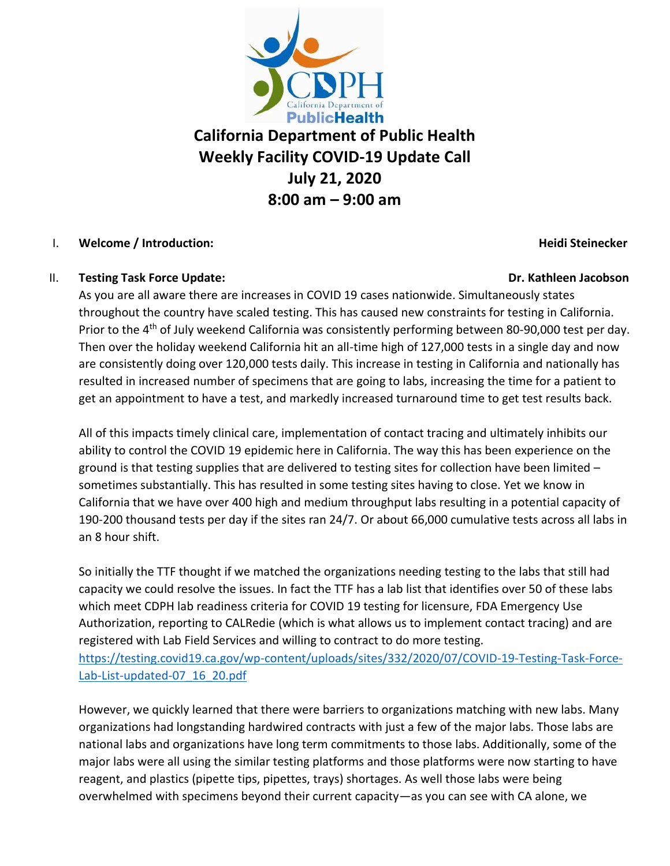

# **California Department of Public Health Weekly Facility COVID-19 Update Call July 21, 2020 8:00 am – 9:00 am**

### I. **Welcome / Introduction: Heidi Steinecker**

### II. **Testing Task Force Update: Dr. Kathleen Jacobson**

As you are all aware there are increases in COVID 19 cases nationwide. Simultaneously states throughout the country have scaled testing. This has caused new constraints for testing in California. Prior to the 4<sup>th</sup> of July weekend California was consistently performing between 80-90,000 test per day. Then over the holiday weekend California hit an all-time high of 127,000 tests in a single day and now are consistently doing over 120,000 tests daily. This increase in testing in California and nationally has resulted in increased number of specimens that are going to labs, increasing the time for a patient to get an appointment to have a test, and markedly increased turnaround time to get test results back.

All of this impacts timely clinical care, implementation of contact tracing and ultimately inhibits our ability to control the COVID 19 epidemic here in California. The way this has been experience on the ground is that testing supplies that are delivered to testing sites for collection have been limited – sometimes substantially. This has resulted in some testing sites having to close. Yet we know in California that we have over 400 high and medium throughput labs resulting in a potential capacity of 190-200 thousand tests per day if the sites ran 24/7. Or about 66,000 cumulative tests across all labs in an 8 hour shift.

So initially the TTF thought if we matched the organizations needing testing to the labs that still had capacity we could resolve the issues. In fact the TTF has a lab list that identifies over 50 of these labs which meet CDPH lab readiness criteria for COVID 19 testing for licensure, FDA Emergency Use Authorization, reporting to CALRedie (which is what allows us to implement contact tracing) and are registered with Lab Field Services and willing to contract to do more testing. [https://testing.covid19.ca.gov/wp-content/uploads/sites/332/2020/07/COVID-19-Testing-Task-Force-](https://testing.covid19.ca.gov/wp-content/uploads/sites/332/2020/07/COVID-19-Testing-Task-Force-Lab-List-updated-07_16_20.pdf)[Lab-List-updated-07\\_16\\_20.pdf](https://testing.covid19.ca.gov/wp-content/uploads/sites/332/2020/07/COVID-19-Testing-Task-Force-Lab-List-updated-07_16_20.pdf)

However, we quickly learned that there were barriers to organizations matching with new labs. Many organizations had longstanding hardwired contracts with just a few of the major labs. Those labs are national labs and organizations have long term commitments to those labs. Additionally, some of the major labs were all using the similar testing platforms and those platforms were now starting to have reagent, and plastics (pipette tips, pipettes, trays) shortages. As well those labs were being overwhelmed with specimens beyond their current capacity—as you can see with CA alone, we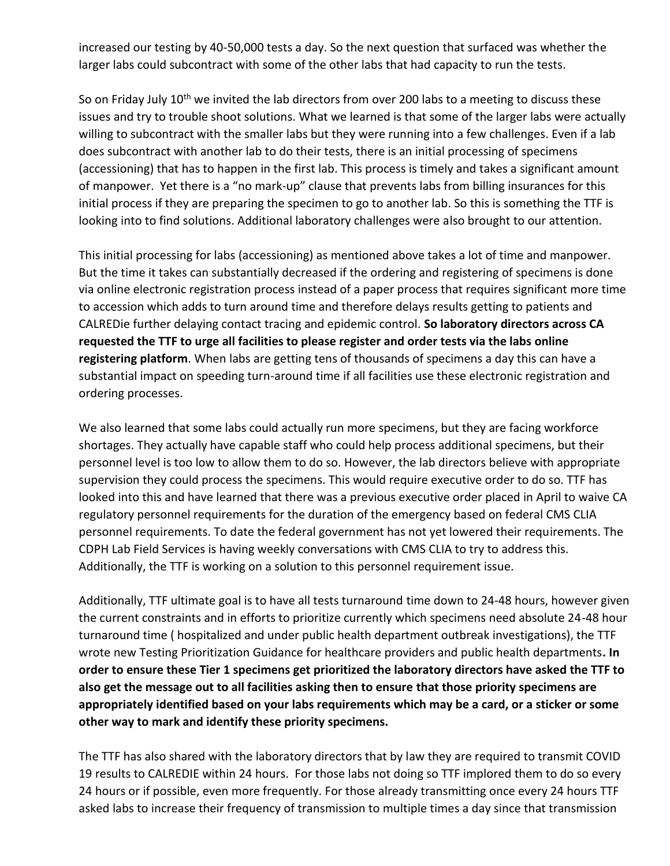increased our testing by 40-50,000 tests a day. So the next question that surfaced was whether the larger labs could subcontract with some of the other labs that had capacity to run the tests.

So on Friday July 10<sup>th</sup> we invited the lab directors from over 200 labs to a meeting to discuss these issues and try to trouble shoot solutions. What we learned is that some of the larger labs were actually willing to subcontract with the smaller labs but they were running into a few challenges. Even if a lab does subcontract with another lab to do their tests, there is an initial processing of specimens (accessioning) that has to happen in the first lab. This process is timely and takes a significant amount of manpower. Yet there is a "no mark-up" clause that prevents labs from billing insurances for this initial process if they are preparing the specimen to go to another lab. So this is something the TTF is looking into to find solutions. Additional laboratory challenges were also brought to our attention.

This initial processing for labs (accessioning) as mentioned above takes a lot of time and manpower. But the time it takes can substantially decreased if the ordering and registering of specimens is done via online electronic registration process instead of a paper process that requires significant more time to accession which adds to turn around time and therefore delays results getting to patients and CALREDie further delaying contact tracing and epidemic control. **So laboratory directors across CA requested the TTF to urge all facilities to please register and order tests via the labs online registering platform**. When labs are getting tens of thousands of specimens a day this can have a substantial impact on speeding turn-around time if all facilities use these electronic registration and ordering processes.

We also learned that some labs could actually run more specimens, but they are facing workforce shortages. They actually have capable staff who could help process additional specimens, but their personnel level is too low to allow them to do so. However, the lab directors believe with appropriate supervision they could process the specimens. This would require executive order to do so. TTF has looked into this and have learned that there was a previous executive order placed in April to waive CA regulatory personnel requirements for the duration of the emergency based on federal CMS CLIA personnel requirements. To date the federal government has not yet lowered their requirements. The CDPH Lab Field Services is having weekly conversations with CMS CLIA to try to address this. Additionally, the TTF is working on a solution to this personnel requirement issue.

Additionally, TTF ultimate goal is to have all tests turnaround time down to 24-48 hours, however given the current constraints and in efforts to prioritize currently which specimens need absolute 24-48 hour turnaround time ( hospitalized and under public health department outbreak investigations), the TTF wrote new Testing Prioritization Guidance for healthcare providers and public health departments**. In order to ensure these Tier 1 specimens get prioritized the laboratory directors have asked the TTF to also get the message out to all facilities asking then to ensure that those priority specimens are appropriately identified based on your labs requirements which may be a card, or a sticker or some other way to mark and identify these priority specimens.** 

The TTF has also shared with the laboratory directors that by law they are required to transmit COVID 19 results to CALREDIE within 24 hours. For those labs not doing so TTF implored them to do so every 24 hours or if possible, even more frequently. For those already transmitting once every 24 hours TTF asked labs to increase their frequency of transmission to multiple times a day since that transmission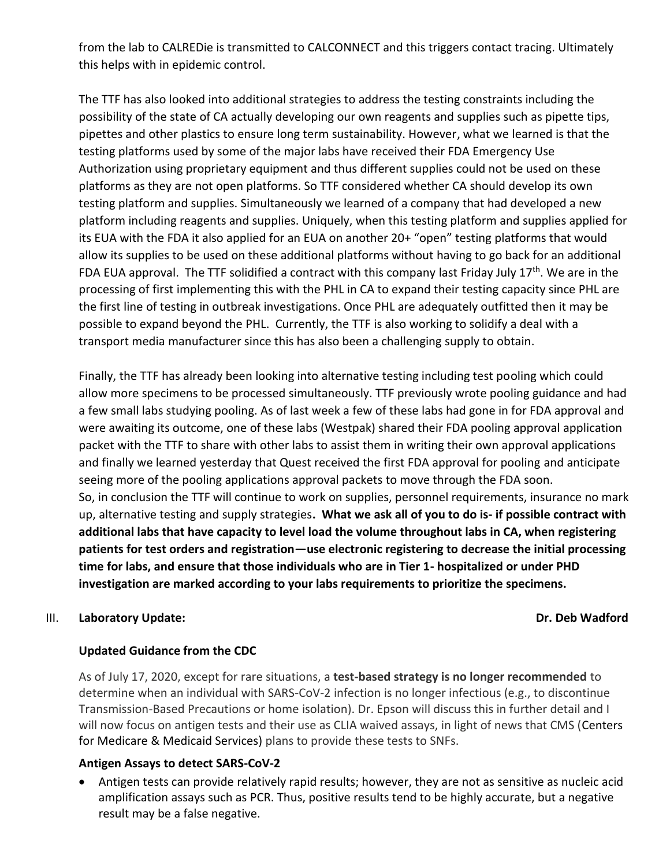from the lab to CALREDie is transmitted to CALCONNECT and this triggers contact tracing. Ultimately this helps with in epidemic control.

The TTF has also looked into additional strategies to address the testing constraints including the possibility of the state of CA actually developing our own reagents and supplies such as pipette tips, pipettes and other plastics to ensure long term sustainability. However, what we learned is that the testing platforms used by some of the major labs have received their FDA Emergency Use Authorization using proprietary equipment and thus different supplies could not be used on these platforms as they are not open platforms. So TTF considered whether CA should develop its own testing platform and supplies. Simultaneously we learned of a company that had developed a new platform including reagents and supplies. Uniquely, when this testing platform and supplies applied for its EUA with the FDA it also applied for an EUA on another 20+ "open" testing platforms that would allow its supplies to be used on these additional platforms without having to go back for an additional FDA EUA approval. The TTF solidified a contract with this company last Friday July  $17<sup>th</sup>$ . We are in the processing of first implementing this with the PHL in CA to expand their testing capacity since PHL are the first line of testing in outbreak investigations. Once PHL are adequately outfitted then it may be possible to expand beyond the PHL. Currently, the TTF is also working to solidify a deal with a transport media manufacturer since this has also been a challenging supply to obtain.

Finally, the TTF has already been looking into alternative testing including test pooling which could allow more specimens to be processed simultaneously. TTF previously wrote pooling guidance and had a few small labs studying pooling. As of last week a few of these labs had gone in for FDA approval and were awaiting its outcome, one of these labs (Westpak) shared their FDA pooling approval application packet with the TTF to share with other labs to assist them in writing their own approval applications and finally we learned yesterday that Quest received the first FDA approval for pooling and anticipate seeing more of the pooling applications approval packets to move through the FDA soon. So, in conclusion the TTF will continue to work on supplies, personnel requirements, insurance no mark up, alternative testing and supply strategies**. What we ask all of you to do is- if possible contract with additional labs that have capacity to level load the volume throughout labs in CA, when registering patients for test orders and registration—use electronic registering to decrease the initial processing time for labs, and ensure that those individuals who are in Tier 1- hospitalized or under PHD investigation are marked according to your labs requirements to prioritize the specimens.**

### III. **Laboratory Update: Dr. Deb Wadford**

### **Updated Guidance from the CDC**

As of July 17, 2020, except for rare situations, a **test-based strategy is no longer recommended** to determine when an individual with SARS-CoV-2 infection is no longer infectious (e.g., to discontinue Transmission-Based Precautions or home isolation). Dr. Epson will discuss this in further detail and I will now focus on antigen tests and their use as CLIA waived assays, in light of news that CMS (Centers for Medicare & Medicaid Services) plans to provide these tests to SNFs.

### **Antigen Assays to detect SARS-CoV-2**

• Antigen tests can provide relatively rapid results; however, they are not as sensitive as nucleic acid amplification assays such as PCR. Thus, positive results tend to be highly accurate, but a negative result may be a false negative.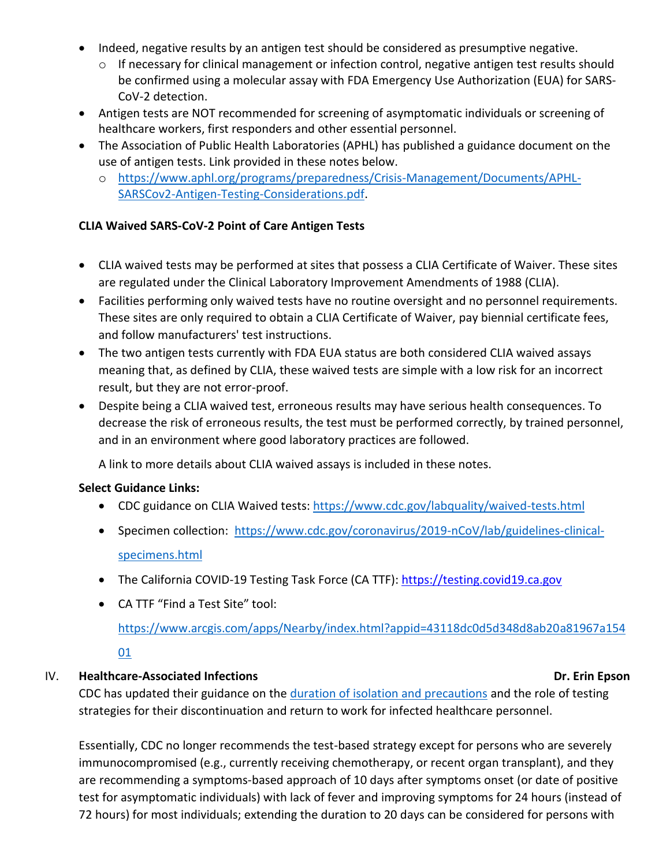- Indeed, negative results by an antigen test should be considered as presumptive negative.
	- o If necessary for clinical management or infection control, negative antigen test results should be confirmed using a molecular assay with FDA Emergency Use Authorization (EUA) for SARS-CoV-2 detection.
- Antigen tests are NOT recommended for screening of asymptomatic individuals or screening of healthcare workers, first responders and other essential personnel.
- The Association of Public Health Laboratories (APHL) has published a guidance document on the use of antigen tests. Link provided in these notes below.
	- o [https://www.aphl.org/programs/preparedness/Crisis-Management/Documents/APHL-](https://www.aphl.org/programs/preparedness/Crisis-Management/Documents/APHL-SARSCov2-Antigen-Testing-Considerations.pdf)[SARSCov2-Antigen-Testing-Considerations.pdf.](https://www.aphl.org/programs/preparedness/Crisis-Management/Documents/APHL-SARSCov2-Antigen-Testing-Considerations.pdf)

### **CLIA Waived SARS-CoV-2 Point of Care Antigen Tests**

- CLIA waived tests may be performed at sites that possess a CLIA Certificate of Waiver. These sites are regulated under the Clinical Laboratory Improvement Amendments of 1988 (CLIA).
- Facilities performing only waived tests have no routine oversight and no personnel requirements. These sites are only required to obtain a CLIA Certificate of Waiver, pay biennial certificate fees, and follow manufacturers' test instructions.
- The two antigen tests currently with FDA EUA status are both considered CLIA waived assays meaning that, as defined by CLIA, these waived tests are simple with a low risk for an incorrect result, but they are not error-proof.
- Despite being a CLIA waived test, erroneous results may have serious health consequences. To decrease the risk of erroneous results, the test must be performed correctly, by trained personnel, and in an environment where good laboratory practices are followed.

A link to more details about CLIA waived assays is included in these notes.

### **Select Guidance Links:**

- CDC guidance on CLIA Waived tests: <https://www.cdc.gov/labquality/waived-tests.html>
- Specimen collection:[https://www.cdc.gov/coronavirus/2019-nCoV/lab/guidelines-clinical](https://www.cdc.gov/coronavirus/2019-nCoV/lab/guidelines-clinical-specimens.html)[specimens.html](https://www.cdc.gov/coronavirus/2019-nCoV/lab/guidelines-clinical-specimens.html)
- The California COVID-19 Testing Task Force (CA TTF): [https://testing.covid19.ca.gov](https://testing.covid19.ca.gov/)
- CA TTF "Find a Test Site" tool:

[https://www.arcgis.com/apps/Nearby/index.html?appid=43118dc0d5d348d8ab20a81967a154](https://www.arcgis.com/apps/Nearby/index.html?appid=43118dc0d5d348d8ab20a81967a15401)

[01](https://www.arcgis.com/apps/Nearby/index.html?appid=43118dc0d5d348d8ab20a81967a15401)

## IV. **Healthcare-Associated Infections Dr. Erin Epson**

CDC has updated their guidance on the [duration of isolation and precautions](https://www.cdc.gov/coronavirus/2019-ncov/hcp/duration-isolation.html) and the role of testing strategies for their discontinuation and return to work for infected healthcare personnel.

Essentially, CDC no longer recommends the test-based strategy except for persons who are severely immunocompromised (e.g., currently receiving chemotherapy, or recent organ transplant), and they are recommending a symptoms-based approach of 10 days after symptoms onset (or date of positive test for asymptomatic individuals) with lack of fever and improving symptoms for 24 hours (instead of 72 hours) for most individuals; extending the duration to 20 days can be considered for persons with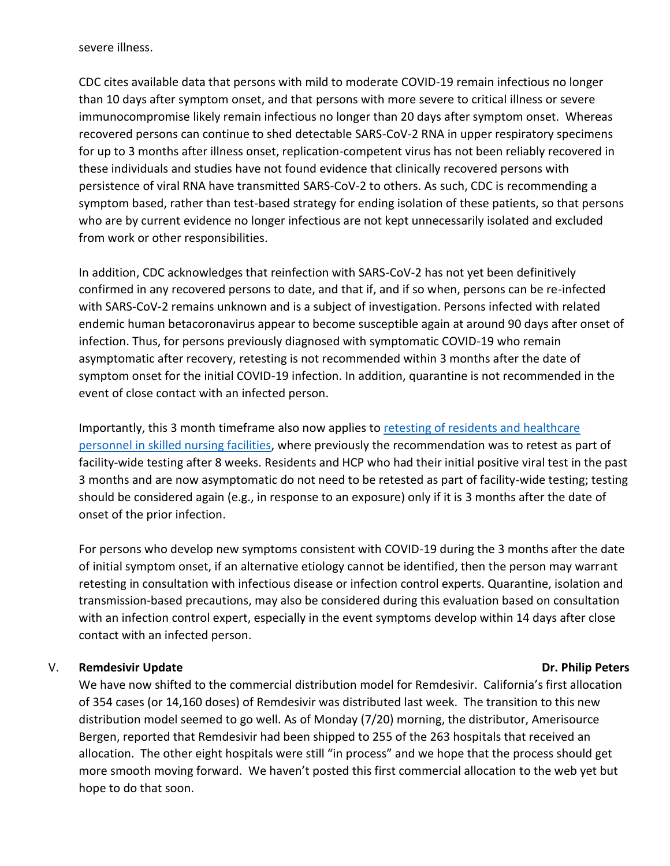severe illness.

CDC cites available data that persons with mild to moderate COVID-19 remain infectious no longer than 10 days after symptom onset, and that persons with more severe to critical illness or severe immunocompromise likely remain infectious no longer than 20 days after symptom onset. Whereas recovered persons can continue to shed detectable SARS-CoV-2 RNA in upper respiratory specimens for up to 3 months after illness onset, replication-competent virus has not been reliably recovered in these individuals and studies have not found evidence that clinically recovered persons with persistence of viral RNA have transmitted SARS-CoV-2 to others. As such, CDC is recommending a symptom based, rather than test-based strategy for ending isolation of these patients, so that persons who are by current evidence no longer infectious are not kept unnecessarily isolated and excluded from work or other responsibilities.

In addition, CDC acknowledges that reinfection with SARS-CoV-2 has not yet been definitively confirmed in any recovered persons to date, and that if, and if so when, persons can be re-infected with SARS-CoV-2 remains unknown and is a subject of investigation. Persons infected with related endemic human betacoronavirus appear to become susceptible again at around 90 days after onset of infection. Thus, for persons previously diagnosed with symptomatic COVID-19 who remain asymptomatic after recovery, retesting is not recommended within 3 months after the date of symptom onset for the initial COVID-19 infection. In addition, quarantine is not recommended in the event of close contact with an infected person.

Importantly, this 3 month timeframe also now applies to [retesting of residents and healthcare](https://www.cdc.gov/coronavirus/2019-ncov/hcp/faq.html)  [personnel in skilled nursing facilities,](https://www.cdc.gov/coronavirus/2019-ncov/hcp/faq.html) where previously the recommendation was to retest as part of facility-wide testing after 8 weeks. Residents and HCP who had their initial positive viral test in the past 3 months and are now asymptomatic do not need to be retested as part of facility-wide testing; testing should be considered again (e.g., in response to an exposure) only if it is 3 months after the date of onset of the prior infection.

For persons who develop new symptoms consistent with COVID-19 during the 3 months after the date of initial symptom onset, if an alternative etiology cannot be identified, then the person may warrant retesting in consultation with infectious disease or infection control experts. Quarantine, isolation and transmission-based precautions, may also be considered during this evaluation based on consultation with an infection control expert, especially in the event symptoms develop within 14 days after close contact with an infected person.

#### V. Remdesivir Update **Dr. Philip Peters**

We have now shifted to the commercial distribution model for Remdesivir. California's first allocation of 354 cases (or 14,160 doses) of Remdesivir was distributed last week. The transition to this new distribution model seemed to go well. As of Monday (7/20) morning, the distributor, Amerisource Bergen, reported that Remdesivir had been shipped to 255 of the 263 hospitals that received an allocation. The other eight hospitals were still "in process" and we hope that the process should get more smooth moving forward. We haven't posted this first commercial allocation to the web yet but hope to do that soon.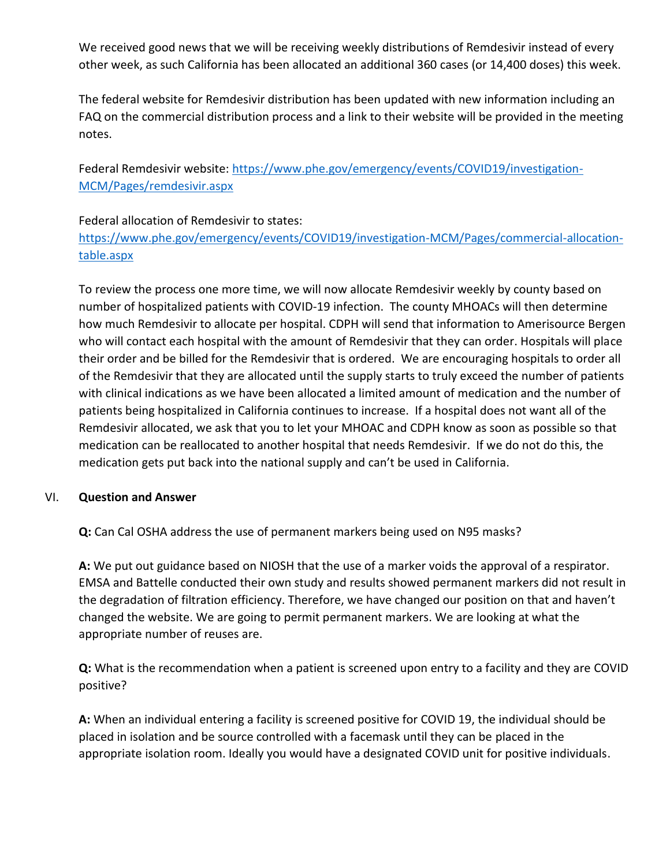We received good news that we will be receiving weekly distributions of Remdesivir instead of every other week, as such California has been allocated an additional 360 cases (or 14,400 doses) this week.

The federal website for Remdesivir distribution has been updated with new information including an FAQ on the commercial distribution process and a link to their website will be provided in the meeting notes.

Federal Remdesivir website: [https://www.phe.gov/emergency/events/COVID19/investigation-](https://www.phe.gov/emergency/events/COVID19/investigation-MCM/Pages/remdesivir.aspx)[MCM/Pages/remdesivir.aspx](https://www.phe.gov/emergency/events/COVID19/investigation-MCM/Pages/remdesivir.aspx)

Federal allocation of Remdesivir to states:

[https://www.phe.gov/emergency/events/COVID19/investigation-MCM/Pages/commercial-allocation](https://www.phe.gov/emergency/events/COVID19/investigation-MCM/Pages/commercial-allocation-table.aspx)[table.aspx](https://www.phe.gov/emergency/events/COVID19/investigation-MCM/Pages/commercial-allocation-table.aspx)

To review the process one more time, we will now allocate Remdesivir weekly by county based on number of hospitalized patients with COVID-19 infection. The county MHOACs will then determine how much Remdesivir to allocate per hospital. CDPH will send that information to Amerisource Bergen who will contact each hospital with the amount of Remdesivir that they can order. Hospitals will place their order and be billed for the Remdesivir that is ordered. We are encouraging hospitals to order all of the Remdesivir that they are allocated until the supply starts to truly exceed the number of patients with clinical indications as we have been allocated a limited amount of medication and the number of patients being hospitalized in California continues to increase. If a hospital does not want all of the Remdesivir allocated, we ask that you to let your MHOAC and CDPH know as soon as possible so that medication can be reallocated to another hospital that needs Remdesivir. If we do not do this, the medication gets put back into the national supply and can't be used in California.

#### VI. **Question and Answer**

**Q:** Can Cal OSHA address the use of permanent markers being used on N95 masks?

**A:** We put out guidance based on NIOSH that the use of a marker voids the approval of a respirator. EMSA and Battelle conducted their own study and results showed permanent markers did not result in the degradation of filtration efficiency. Therefore, we have changed our position on that and haven't changed the website. We are going to permit permanent markers. We are looking at what the appropriate number of reuses are.

**Q:** What is the recommendation when a patient is screened upon entry to a facility and they are COVID positive?

**A:** When an individual entering a facility is screened positive for COVID 19, the individual should be placed in isolation and be source controlled with a facemask until they can be placed in the appropriate isolation room. Ideally you would have a designated COVID unit for positive individuals.